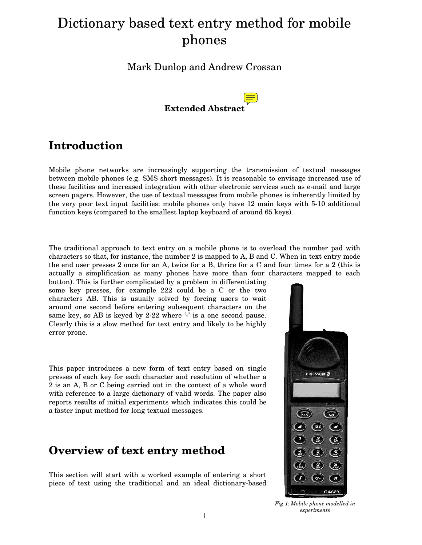# Dictionary based text entry method for mobile phones

Mark Dunlop and Andrew Crossan



# **Introduction**

Mobile phone networks are increasingly supporting the transmission of textual messages between mobile phones (e.g. SMS short messages). It is reasonable to envisage increased use of these facilities and increased integration with other electronic services such as e-mail and large screen pagers. However, the use of textual messages from mobile phones is inherently limited by the very poor text input facilities: mobile phones only have 12 main keys with 5-10 additional function keys (compared to the smallest laptop keyboard of around 65 keys).

The traditional approach to text entry on a mobile phone is to overload the number pad with characters so that, for instance, the number 2 is mapped to A, B and C. When in text entry mode the end user presses 2 once for an A, twice for a B, thrice for a C and four times for a 2 (this is actually a simplification as many phones have more than four characters mapped to each

button). This is further complicated by a problem in differentiating some key presses, for example 222 could be a C or the two characters AB. This is usually solved by forcing users to wait around one second before entering subsequent characters on the same key, so AB is keyed by 2-22 where  $\cdot$  is a one second pause. Clearly this is a slow method for text entry and likely to be highly error prone.

This paper introduces a new form of text entry based on single presses of each key for each character and resolution of whether a 2 is an A, B or C being carried out in the context of a whole word with reference to a large dictionary of valid words. The paper also reports results of initial experiments which indicates this could be a faster input method for long textual messages.

## **Overview of text entry method**

This section will start with a worked example of entering a short piece of text using the traditional and an ideal dictionary-based



*Fig 1: Mobile phone modelled in experiments*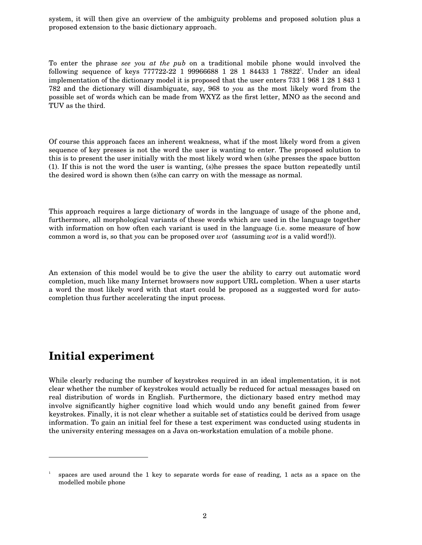system, it will then give an overview of the ambiguity problems and proposed solution plus a proposed extension to the basic dictionary approach.

To enter the phrase *see you at the pub* on a traditional mobile phone would involved the following sequence of keys 777722-22 1 99966688 1 28 1 84433 1 78822<sup>1</sup>. Under an ideal implementation of the dictionary model it is proposed that the user enters 733 1 968 1 28 1 843 1 782 and the dictionary will disambiguate, say, 968 to *you* as the most likely word from the possible set of words which can be made from WXYZ as the first letter, MNO as the second and TUV as the third.

Of course this approach faces an inherent weakness, what if the most likely word from a given sequence of key presses is not the word the user is wanting to enter. The proposed solution to this is to present the user initially with the most likely word when (s)he presses the space button (1). If this is not the word the user is wanting, (s)he presses the space button repeatedly until the desired word is shown then (s)he can carry on with the message as normal.

This approach requires a large dictionary of words in the language of usage of the phone and, furthermore, all morphological variants of these words which are used in the language together with information on how often each variant is used in the language (i.e. some measure of how common a word is, so that *you* can be proposed over *wot* (assuming *wot* is a valid word!)).

An extension of this model would be to give the user the ability to carry out automatic word completion, much like many Internet browsers now support URL completion. When a user starts a word the most likely word with that start could be proposed as a suggested word for autocompletion thus further accelerating the input process.

#### **Initial experiment**

-

While clearly reducing the number of keystrokes required in an ideal implementation, it is not clear whether the number of keystrokes would actually be reduced for actual messages based on real distribution of words in English. Furthermore, the dictionary based entry method may involve significantly higher cognitive load which would undo any benefit gained from fewer keystrokes. Finally, it is not clear whether a suitable set of statistics could be derived from usage information. To gain an initial feel for these a test experiment was conducted using students in the university entering messages on a Java on-workstation emulation of a mobile phone.

<sup>1</sup> spaces are used around the 1 key to separate words for ease of reading, 1 acts as a space on the modelled mobile phone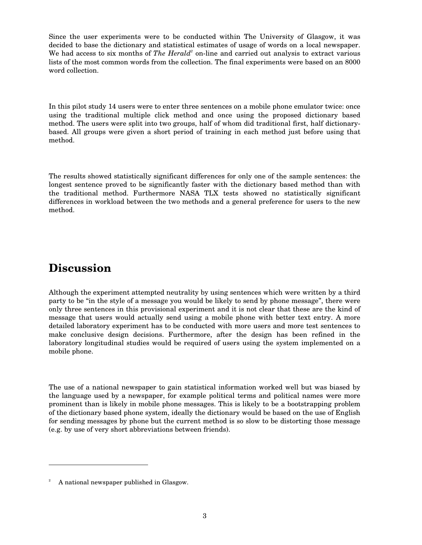Since the user experiments were to be conducted within The University of Glasgow, it was decided to base the dictionary and statistical estimates of usage of words on a local newspaper. We had access to six months of *The Herald*<sup>2</sup> on-line and carried out analysis to extract various lists of the most common words from the collection. The final experiments were based on an 8000 word collection.

In this pilot study 14 users were to enter three sentences on a mobile phone emulator twice: once using the traditional multiple click method and once using the proposed dictionary based method. The users were split into two groups, half of whom did traditional first, half dictionarybased. All groups were given a short period of training in each method just before using that method.

The results showed statistically significant differences for only one of the sample sentences: the longest sentence proved to be significantly faster with the dictionary based method than with the traditional method. Furthermore NASA TLX tests showed no statistically significant differences in workload between the two methods and a general preference for users to the new method.

# **Discussion**

-

Although the experiment attempted neutrality by using sentences which were written by a third party to be "in the style of a message you would be likely to send by phone message", there were only three sentences in this provisional experiment and it is not clear that these are the kind of message that users would actually send using a mobile phone with better text entry. A more detailed laboratory experiment has to be conducted with more users and more test sentences to make conclusive design decisions. Furthermore, after the design has been refined in the laboratory longitudinal studies would be required of users using the system implemented on a mobile phone.

The use of a national newspaper to gain statistical information worked well but was biased by the language used by a newspaper, for example political terms and political names were more prominent than is likely in mobile phone messages. This is likely to be a bootstrapping problem of the dictionary based phone system, ideally the dictionary would be based on the use of English for sending messages by phone but the current method is so slow to be distorting those message (e.g. by use of very short abbreviations between friends).

<sup>2</sup> A national newspaper published in Glasgow.